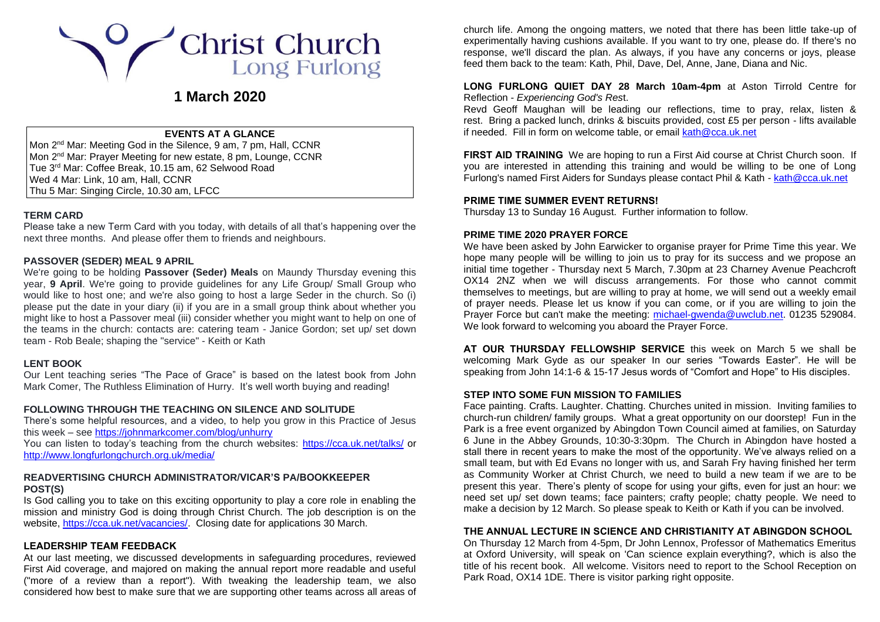

# **1 March 2020**

## **EVENTS AT A GLANCE**

Mon 2<sup>nd</sup> Mar: Meeting God in the Silence, 9 am, 7 pm, Hall, CCNR Mon 2<sup>nd</sup> Mar: Prayer Meeting for new estate, 8 pm, Lounge, CCNR Tue 3rd Mar: Coffee Break, 10.15 am, 62 Selwood Road Wed 4 Mar: Link, 10 am, Hall, CCNR Thu 5 Mar: Singing Circle, 10.30 am, LFCC

## **TERM CARD**

Please take a new Term Card with you today, with details of all that's happening over the next three months. And please offer them to friends and neighbours.

## **PASSOVER (SEDER) MEAL 9 APRIL**

We're going to be holding **Passover (Seder) Meals** on Maundy Thursday evening this year, **9 April**. We're going to provide guidelines for any Life Group/ Small Group who would like to host one; and we're also going to host a large Seder in the church. So (i) please put the date in your diary (ii) if you are in a small group think about whether you might like to host a Passover meal (iii) consider whether you might want to help on one of the teams in the church: contacts are: catering team - Janice Gordon; set up/ set down team - Rob Beale; shaping the "service" - Keith or Kath

## **LENT BOOK**

Our Lent teaching series "The Pace of Grace" is based on the latest book from John Mark Comer, The Ruthless Elimination of Hurry. It's well worth buying and reading!

## **FOLLOWING THROUGH THE TEACHING ON SILENCE AND SOLITUDE**

There's some helpful resources, and a video, to help you grow in this Practice of Jesus this week – see<https://johnmarkcomer.com/blog/unhurry>

You can listen to today's teaching from the church websites:<https://cca.uk.net/talks/> or <http://www.longfurlongchurch.org.uk/media/>

#### **READVERTISING CHURCH ADMINISTRATOR/VICAR'S PA/BOOKKEEPER POST(S)**

Is God calling you to take on this exciting opportunity to play a core role in enabling the mission and ministry God is doing through Christ Church. The job description is on the website, [https://cca.uk.net/vacancies/.](https://cca.uk.net/vacancies/) Closing date for applications 30 March.

#### **LEADERSHIP TEAM FEEDBACK**

At our last meeting, we discussed developments in safeguarding procedures, reviewed First Aid coverage, and majored on making the annual report more readable and useful ("more of a review than a report"). With tweaking the leadership team, we also considered how best to make sure that we are supporting other teams across all areas of church life. Among the ongoing matters, we noted that there has been little take-up of experimentally having cushions available. If you want to try one, please do. If there's no response, we'll discard the plan. As always, if you have any concerns or joys, please feed them back to the team: Kath, Phil, Dave, Del, Anne, Jane, Diana and Nic.

#### **LONG FURLONG QUIET DAY 28 March 10am-4pm** at Aston Tirrold Centre for Reflection - *Experiencing God's Res*t.

Revd Geoff Maughan will be leading our reflections, time to pray, relax, listen & rest. Bring a packed lunch, drinks & biscuits provided, cost £5 per person - lifts available if needed. Fill in form on welcome table, or emai[l kath@cca.uk.net](mailto:kath@cca.uk.net)

**FIRST AID TRAINING** We are hoping to run a First Aid course at Christ Church soon. If you are interested in attending this training and would be willing to be one of Long Furlong's named First Aiders for Sundays please contact Phil & Kath - [kath@cca.uk.net](mailto:kath@cca.uk.net)

#### **PRIME TIME SUMMER EVENT RETURNS!**

Thursday 13 to Sunday 16 August. Further information to follow.

#### **PRIME TIME 2020 PRAYER FORCE**

We have been asked by John Earwicker to organise prayer for Prime Time this year. We hope many people will be willing to join us to pray for its success and we propose an initial time together - Thursday next 5 March, 7.30pm at 23 Charney Avenue Peachcroft OX14 2NZ when we will discuss arrangements. For those who cannot commit themselves to meetings, but are willing to pray at home, we will send out a weekly email of prayer needs. Please let us know if you can come, or if you are willing to join the Prayer Force but can't make the meeting: [michael-gwenda@uwclub.net.](mailto:michael-gwenda@uwclub.net) 01235 529084. We look forward to welcoming you aboard the Prayer Force.

**AT OUR THURSDAY FELLOWSHIP SERVICE** this week on March 5 we shall be welcoming Mark Gyde as our speaker In our series "Towards Easter". He will be speaking from John 14:1-6 & 15-17 Jesus words of "Comfort and Hope" to His disciples.

#### **STEP INTO SOME FUN MISSION TO FAMILIES**

Face painting. Crafts. Laughter. Chatting. Churches united in mission. Inviting families to church-run children/ family groups. What a great opportunity on our doorstep! Fun in the Park is a free event organized by Abingdon Town Council aimed at families, on Saturday 6 June in the Abbey Grounds, 10:30-3:30pm. The Church in Abingdon have hosted a stall there in recent years to make the most of the opportunity. We've always relied on a small team, but with Ed Evans no longer with us, and Sarah Fry having finished her term as Community Worker at Christ Church, we need to build a new team if we are to be present this year. There's plenty of scope for using your gifts, even for just an hour: we need set up/ set down teams; face painters; crafty people; chatty people. We need to make a decision by 12 March. So please speak to Keith or Kath if you can be involved.

#### **THE ANNUAL LECTURE IN SCIENCE AND CHRISTIANITY AT ABINGDON SCHOOL**

On Thursday 12 March from 4-5pm, Dr John Lennox, Professor of Mathematics Emeritus at Oxford University, will speak on 'Can science explain everything?, which is also the title of his recent book. All welcome. Visitors need to report to the School Reception on Park Road, OX14 1DE. There is visitor parking right opposite.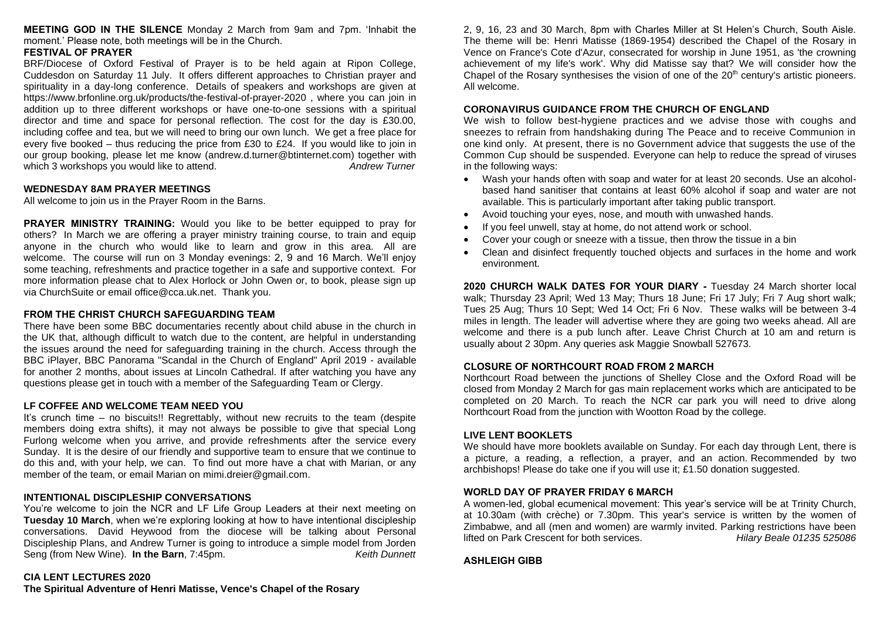**MEETING GOD IN THE SILENCE** Monday 2 March from 9am and 7pm. 'Inhabit the moment.' Please note, both meetings will be in the Church.

## **FESTIVAL OF PRAYER**

BRF/Diocese of Oxford Festival of Prayer is to be held again at Ripon College, Cuddesdon on Saturday 11 July. It offers different approaches to Christian prayer and spirituality in a day-long conference. Details of speakers and workshops are given at <https://www.brfonline.org.uk/products/the-festival-of-prayer-2020> , where you can join in addition up to three different workshops or have one-to-one sessions with a spiritual director and time and space for personal reflection. The cost for the day is £30.00, including coffee and tea, but we will need to bring our own lunch. We get a free place for every five booked – thus reducing the price from  $£30$  to  $£24$ . If you would like to join in our group booking, please let me know [\(andrew.d.turner@btinternet.com\)](mailto:andrew.d.turner@btinternet.com) together with which 3 workshops you would like to attend. **Andrew Turner** and the state of the state of the *Andrew Turner* 

## **WEDNESDAY 8AM PRAYER MEETINGS**

All welcome to join us in the Prayer Room in the Barns.

**PRAYER MINISTRY TRAINING:** Would you like to be better equipped to pray for others? In March we are offering a prayer ministry training course, to train and equip anyone in the church who would like to learn and grow in this area. All are welcome. The course will run on 3 Monday evenings: 2, 9 and 16 March. We'll enjoy some teaching, refreshments and practice together in a safe and supportive context. For more information please chat to Alex Horlock or John Owen or, to book, please sign up via ChurchSuite or email [office@cca.uk.net.](mailto:office@cca.uk.net) Thank you.

## **FROM THE CHRIST CHURCH SAFEGUARDING TEAM**

There have been some BBC documentaries recently about child abuse in the church in the UK that, although difficult to watch due to the content, are helpful in understanding the issues around the need for safeguarding training in the church. Access through the BBC iPlayer, BBC Panorama "Scandal in the Church of England" April 2019 - available for another 2 months, about issues at Lincoln Cathedral. If after watching you have any questions please get in touch with a member of the Safeguarding Team or Clergy.

## **LF COFFEE AND WELCOME TEAM NEED YOU**

It's crunch time – no biscuits!! Regrettably, without new recruits to the team (despite members doing extra shifts), it may not always be possible to give that special Long Furlong welcome when you arrive, and provide refreshments after the service every Sunday. It is the desire of our friendly and supportive team to ensure that we continue to do this and, with your help, we can. To find out more have a chat with Marian, or any member of the team, or email Marian on [mimi.dreier@gmail.com.](mailto:mimi.dreier@gmail.com)

## **INTENTIONAL DISCIPLESHIP CONVERSATIONS**

You're welcome to join the NCR and LF Life Group Leaders at their next meeting on **Tuesday 10 March**, when we're exploring looking at how to have intentional discipleship conversations. David Heywood from the diocese will be talking about Personal Discipleship Plans, and Andrew Turner is going to introduce a simple model from Jorden Seng (from New Wine). **In the Barn**, 7:45pm. *Keith Dunnett*

## 2, 9, 16, 23 and 30 March, 8pm with Charles Miller at St Helen's Church, South Aisle. The theme will be: Henri Matisse (1869-1954) described the Chapel of the Rosary in Vence on France's Cote d'Azur, consecrated for worship in June 1951, as 'the crowning achievement of my life's work'. Why did Matisse say that? We will consider how the Chapel of the Rosary synthesises the vision of one of the  $20<sup>th</sup>$  century's artistic pioneers. All welcome.

# **CORONAVIRUS GUIDANCE FROM THE CHURCH OF ENGLAND**

We wish to follow best-hygiene practices and we advise those with coughs and sneezes to refrain from handshaking during The Peace and to receive Communion in one kind only. At present, there is no Government advice that suggests the use of the Common Cup should be suspended. Everyone can help to reduce the spread of viruses in the following ways:

- Wash your hands often with soap and water for at least 20 seconds. Use an alcoholbased hand sanitiser that contains at least 60% alcohol if soap and water are not available. This is particularly important after taking public transport.
- Avoid touching your eyes, nose, and mouth with unwashed hands.
- If you feel unwell, stay at home, do not attend work or school.
- Cover your cough or sneeze with a tissue, then throw the tissue in a bin
- Clean and disinfect frequently touched objects and surfaces in the home and work environment.

**2020 CHURCH WALK DATES FOR YOUR DIARY -** Tuesday 24 March shorter local walk; Thursday 23 April; Wed 13 May; Thurs 18 June; Fri 17 July; Fri 7 Aug short walk; Tues 25 Aug; Thurs 10 Sept; Wed 14 Oct; Fri 6 Nov. These walks will be between 3-4 miles in length. The leader will advertise where they are going two weeks ahead. All are welcome and there is a pub lunch after. Leave Christ Church at 10 am and return is usually about 2 30pm. Any queries ask Maggie Snowball 527673.

# **CLOSURE OF NORTHCOURT ROAD FROM 2 MARCH**

Northcourt Road between the junctions of Shelley Close and the Oxford Road will be closed from Monday 2 March for gas main replacement works which are anticipated to be completed on 20 March. To reach the NCR car park you will need to drive along Northcourt Road from the junction with Wootton Road by the college.

# **LIVE LENT BOOKLETS**

We should have more booklets available on Sunday. For each day through Lent, there is a picture, a reading, a reflection, a prayer, and an action. Recommended by two archbishops! Please do take one if you will use it; £1.50 donation suggested.

# **WORLD DAY OF PRAYER FRIDAY 6 MARCH**

A women-led, global ecumenical movement: This year's service will be at Trinity Church, at 10.30am (with crèche) or 7.30pm. This year's service is written by the women of Zimbabwe, and all (men and women) are warmly invited. Parking restrictions have been lifted on Park Crescent for both services. *Hilary Beale 01235 525086*

## **ASHLEIGH GIBB**

# **CIA LENT LECTURES 2020**

**The Spiritual Adventure of Henri Matisse, Vence's Chapel of the Rosary**